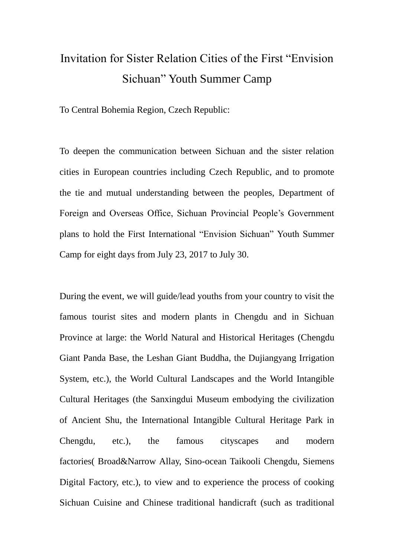### Invitation for Sister Relation Cities of the First "Envision Sichuan" Youth Summer Camp

To Central Bohemia Region, Czech Republic:

To deepen the communication between Sichuan and the sister relation cities in European countries including Czech Republic, and to promote the tie and mutual understanding between the peoples, Department of Foreign and Overseas Office, Sichuan Provincial People's Government plans to hold the First International "Envision Sichuan" Youth Summer Camp for eight days from July 23, 2017 to July 30.

During the event, we will guide/lead youths from your country to visit the famous tourist sites and modern plants in Chengdu and in Sichuan Province at large: the World Natural and Historical Heritages (Chengdu Giant Panda Base, the Leshan Giant Buddha, the Dujiangyang Irrigation System, etc.), the World Cultural Landscapes and the World Intangible Cultural Heritages (the Sanxingdui Museum embodying the civilization of Ancient Shu, the International Intangible Cultural Heritage Park in Chengdu, etc.), the famous cityscapes and modern factories( Broad&Narrow Allay, Sino-ocean Taikooli Chengdu, Siemens Digital Factory, etc.), to view and to experience the process of cooking Sichuan Cuisine and Chinese traditional handicraft (such as traditional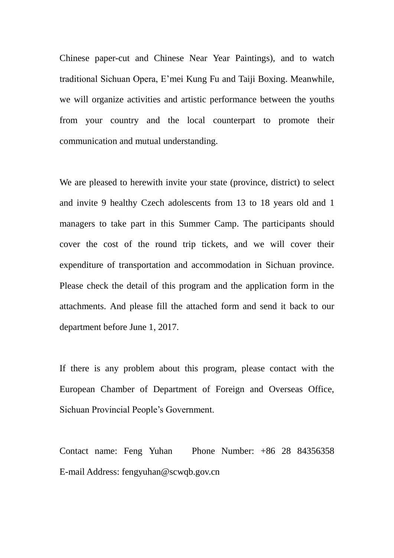Chinese paper-cut and Chinese Near Year Paintings), and to watch traditional Sichuan Opera, E'mei Kung Fu and Taiji Boxing. Meanwhile, we will organize activities and artistic performance between the youths from your country and the local counterpart to promote their communication and mutual understanding.

We are pleased to herewith invite your state (province, district) to select and invite 9 healthy Czech adolescents from 13 to 18 years old and 1 managers to take part in this Summer Camp. The participants should cover the cost of the round trip tickets, and we will cover their expenditure of transportation and accommodation in Sichuan province. Please check the detail of this program and the application form in the attachments. And please fill the attached form and send it back to our department before June 1, 2017.

If there is any problem about this program, please contact with the European Chamber of Department of Foreign and Overseas Office, Sichuan Provincial People's Government.

Contact name: Feng Yuhan Phone Number: +86 28 84356358 E-mail Address: fengyuhan@scwqb.gov.cn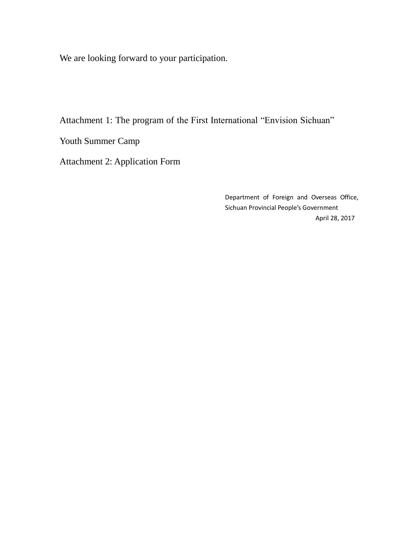We are looking forward to your participation.

Attachment 1: The program of the First International "Envision Sichuan"

Youth Summer Camp

Attachment 2: Application Form

Department of Foreign and Overseas Office, Sichuan Provincial People's Government April 28, 2017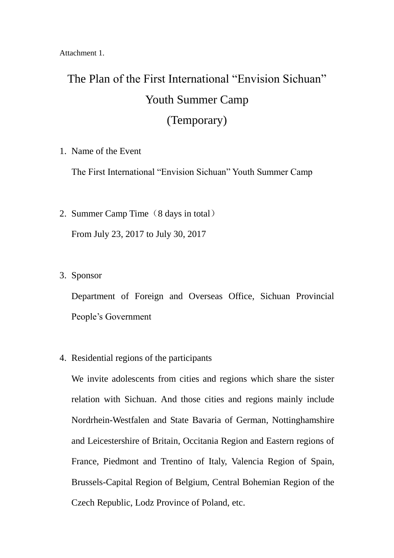Attachment 1.

## The Plan of the First International "Envision Sichuan" Youth Summer Camp (Temporary)

#### 1. Name of the Event

The First International "Envision Sichuan" Youth Summer Camp

- 2. Summer Camp Time (8 days in total) From July 23, 2017 to July 30, 2017
- 3. Sponsor

Department of Foreign and Overseas Office, Sichuan Provincial People's Government

4. Residential regions of the participants

We invite adolescents from cities and regions which share the sister relation with Sichuan. And those cities and regions mainly include Nordrhein-Westfalen and State Bavaria of German, Nottinghamshire and Leicestershire of Britain, Occitania Region and Eastern regions of France, Piedmont and Trentino of Italy, Valencia Region of Spain, Brussels-Capital Region of Belgium, Central Bohemian Region of the Czech Republic, Lodz Province of Poland, etc.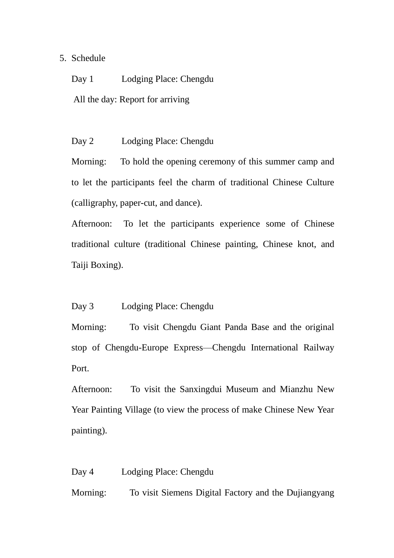#### 5. Schedule

Day 1 Lodging Place: Chengdu

All the day: Report for arriving

Day 2 Lodging Place: Chengdu

Morning: To hold the opening ceremony of this summer camp and to let the participants feel the charm of traditional Chinese Culture (calligraphy, paper-cut, and dance).

Afternoon: To let the participants experience some of Chinese traditional culture (traditional Chinese painting, Chinese knot, and Taiji Boxing).

#### Day 3 Lodging Place: Chengdu

Morning: To visit Chengdu Giant Panda Base and the original stop of Chengdu-Europe Express—Chengdu International Railway Port.

Afternoon: To visit the Sanxingdui Museum and Mianzhu New Year Painting Village (to view the process of make Chinese New Year painting).

Day 4 Lodging Place: Chengdu

Morning: To visit Siemens Digital Factory and the Dujiangyang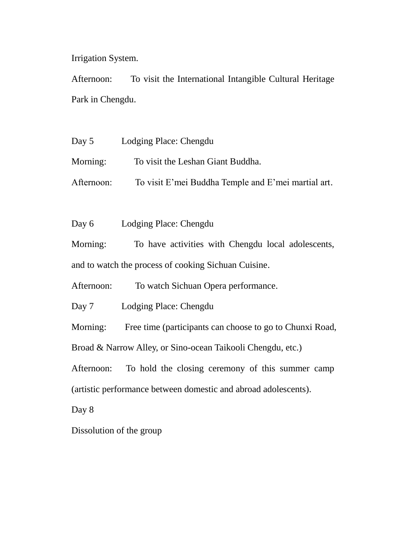Irrigation System.

Afternoon: To visit the International Intangible Cultural Heritage Park in Chengdu.

Day 5 Lodging Place: Chengdu Morning: To visit the Leshan Giant Buddha. Afternoon: To visit E'mei Buddha Temple and E'mei martial art.

Day 6 Lodging Place: Chengdu

Morning: To have activities with Chengdu local adolescents, and to watch the process of cooking Sichuan Cuisine.

Afternoon: To watch Sichuan Opera performance.

Day 7 Lodging Place: Chengdu

Morning: Free time (participants can choose to go to Chunxi Road, Broad & Narrow Alley, or Sino-ocean Taikooli Chengdu, etc.)

Afternoon: To hold the closing ceremony of this summer camp (artistic performance between domestic and abroad adolescents).

Day 8

Dissolution of the group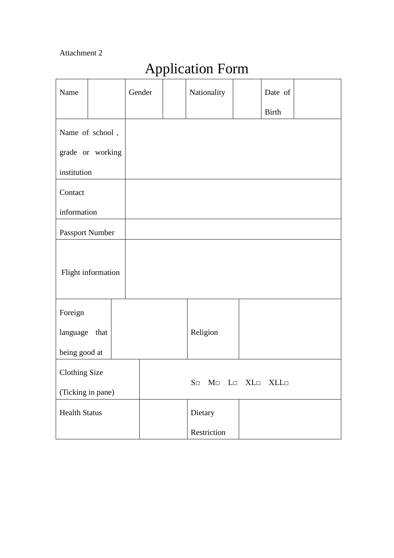#### Attachment 2

# Application Form

| Name                 |  | Gender |                                                   | Nationality |  | Date of      |  |
|----------------------|--|--------|---------------------------------------------------|-------------|--|--------------|--|
|                      |  |        |                                                   |             |  | <b>Birth</b> |  |
| Name of school,      |  |        |                                                   |             |  |              |  |
| grade or working     |  |        |                                                   |             |  |              |  |
| institution          |  |        |                                                   |             |  |              |  |
| Contact              |  |        |                                                   |             |  |              |  |
| information          |  |        |                                                   |             |  |              |  |
| Passport Number      |  |        |                                                   |             |  |              |  |
| Flight information   |  |        |                                                   |             |  |              |  |
| Foreign              |  |        |                                                   |             |  |              |  |
| language that        |  |        |                                                   | Religion    |  |              |  |
| being good at        |  |        |                                                   |             |  |              |  |
| <b>Clothing Size</b> |  |        | $S\Box$<br>$M \Box$ L $\Box$ XL $\Box$ XLL $\Box$ |             |  |              |  |
| (Ticking in pane)    |  |        |                                                   |             |  |              |  |
| <b>Health Status</b> |  |        |                                                   | Dietary     |  |              |  |
|                      |  |        |                                                   | Restriction |  |              |  |